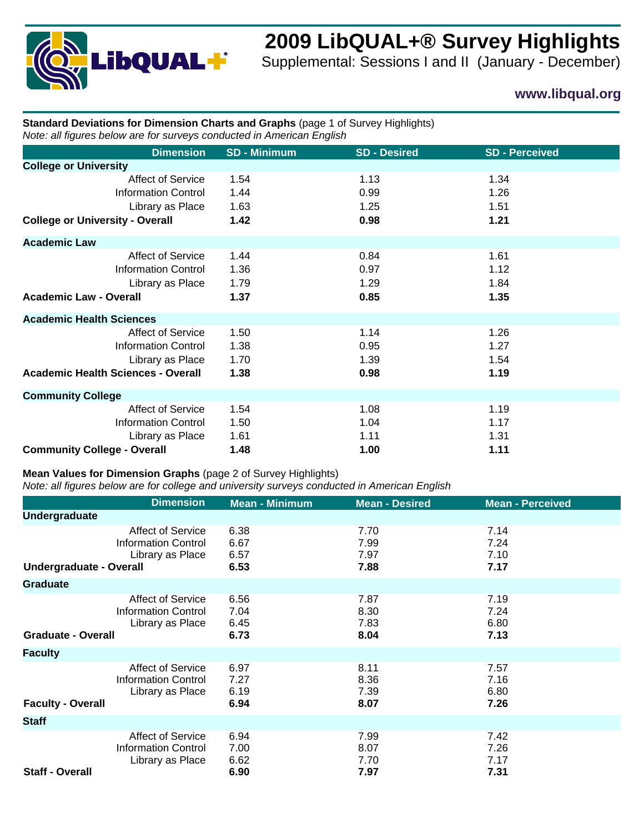

# **2009 LibQUAL+® Survey Highlights**

Supplemental: Sessions I and II (January - December)

## **www.libqual.org**

### **Standard Deviations for Dimension Charts and Graphs** (page 1 of Survey Highlights) *Note: all figures below are for surveys conducted in American English*

| <b>Dimension</b>                                                                                                        | <b>SD - Minimum</b>          | <b>SD - Desired</b>          | <b>SD - Perceived</b>        |  |
|-------------------------------------------------------------------------------------------------------------------------|------------------------------|------------------------------|------------------------------|--|
| <b>College or University</b>                                                                                            |                              |                              |                              |  |
| <b>Affect of Service</b><br><b>Information Control</b><br>Library as Place<br><b>College or University - Overall</b>    | 1.54<br>1.44<br>1.63<br>1.42 | 1.13<br>0.99<br>1.25<br>0.98 | 1.34<br>1.26<br>1.51<br>1.21 |  |
| <b>Academic Law</b>                                                                                                     |                              |                              |                              |  |
| <b>Affect of Service</b><br><b>Information Control</b><br>Library as Place<br><b>Academic Law - Overall</b>             | 1.44<br>1.36<br>1.79<br>1.37 | 0.84<br>0.97<br>1.29<br>0.85 | 1.61<br>1.12<br>1.84<br>1.35 |  |
| <b>Academic Health Sciences</b>                                                                                         |                              |                              |                              |  |
| <b>Affect of Service</b><br><b>Information Control</b><br>Library as Place<br><b>Academic Health Sciences - Overall</b> | 1.50<br>1.38<br>1.70<br>1.38 | 1.14<br>0.95<br>1.39<br>0.98 | 1.26<br>1.27<br>1.54<br>1.19 |  |
| <b>Community College</b>                                                                                                |                              |                              |                              |  |
| <b>Affect of Service</b><br><b>Information Control</b><br>Library as Place<br><b>Community College - Overall</b>        | 1.54<br>1.50<br>1.61<br>1.48 | 1.08<br>1.04<br>1.11<br>1.00 | 1.19<br>1.17<br>1.31<br>1.11 |  |

#### **Mean Values for Dimension Graphs** (page 2 of Survey Highlights)

*Note: all figures below are for college and university surveys conducted in American English*

|                           | <b>Dimension</b>                                                           | <b>Mean - Minimum</b>        | <b>Mean - Desired</b>        | <b>Mean - Perceived</b>      |
|---------------------------|----------------------------------------------------------------------------|------------------------------|------------------------------|------------------------------|
| <b>Undergraduate</b>      |                                                                            |                              |                              |                              |
| Undergraduate - Overall   | <b>Affect of Service</b><br><b>Information Control</b><br>Library as Place | 6.38<br>6.67<br>6.57<br>6.53 | 7.70<br>7.99<br>7.97<br>7.88 | 7.14<br>7.24<br>7.10<br>7.17 |
| <b>Graduate</b>           |                                                                            |                              |                              |                              |
| <b>Graduate - Overall</b> | <b>Affect of Service</b><br><b>Information Control</b><br>Library as Place | 6.56<br>7.04<br>6.45<br>6.73 | 7.87<br>8.30<br>7.83<br>8.04 | 7.19<br>7.24<br>6.80<br>7.13 |
| <b>Faculty</b>            |                                                                            |                              |                              |                              |
| <b>Faculty - Overall</b>  | <b>Affect of Service</b><br><b>Information Control</b><br>Library as Place | 6.97<br>7.27<br>6.19<br>6.94 | 8.11<br>8.36<br>7.39<br>8.07 | 7.57<br>7.16<br>6.80<br>7.26 |
| <b>Staff</b>              |                                                                            |                              |                              |                              |
| <b>Staff - Overall</b>    | <b>Affect of Service</b><br><b>Information Control</b><br>Library as Place | 6.94<br>7.00<br>6.62<br>6.90 | 7.99<br>8.07<br>7.70<br>7.97 | 7.42<br>7.26<br>7.17<br>7.31 |